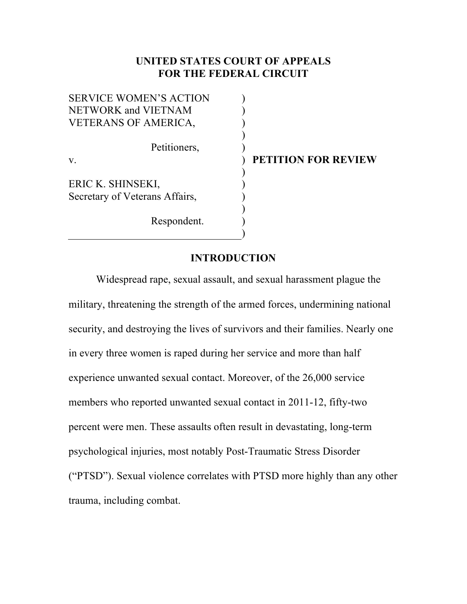# **UNITED STATES COURT OF APPEALS FOR THE FEDERAL CIRCUIT**

) ) ) ) ) ) ) ) ) ) ) )

SERVICE WOMEN'S ACTION NETWORK and VIETNAM VETERANS OF AMERICA, Petitioners, v. ERIC K. SHINSEKI, Secretary of Veterans Affairs,

Respondent.

**PETITION FOR REVIEW**

## **INTRODUCTION**

Widespread rape, sexual assault, and sexual harassment plague the military, threatening the strength of the armed forces, undermining national security, and destroying the lives of survivors and their families. Nearly one in every three women is raped during her service and more than half experience unwanted sexual contact. Moreover, of the 26,000 service members who reported unwanted sexual contact in 2011-12, fifty-two percent were men. These assaults often result in devastating, long-term psychological injuries, most notably Post-Traumatic Stress Disorder ("PTSD"). Sexual violence correlates with PTSD more highly than any other trauma, including combat.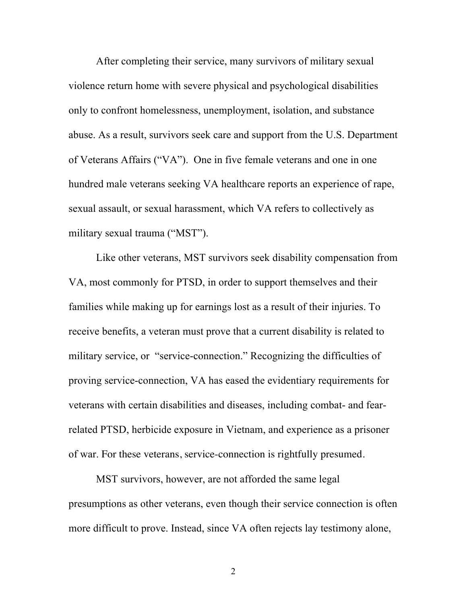After completing their service, many survivors of military sexual violence return home with severe physical and psychological disabilities only to confront homelessness, unemployment, isolation, and substance abuse. As a result, survivors seek care and support from the U.S. Department of Veterans Affairs ("VA"). One in five female veterans and one in one hundred male veterans seeking VA healthcare reports an experience of rape, sexual assault, or sexual harassment, which VA refers to collectively as military sexual trauma ("MST").

Like other veterans, MST survivors seek disability compensation from VA, most commonly for PTSD, in order to support themselves and their families while making up for earnings lost as a result of their injuries. To receive benefits, a veteran must prove that a current disability is related to military service, or "service-connection." Recognizing the difficulties of proving service-connection, VA has eased the evidentiary requirements for veterans with certain disabilities and diseases, including combat- and fearrelated PTSD, herbicide exposure in Vietnam, and experience as a prisoner of war. For these veterans, service-connection is rightfully presumed.

MST survivors, however, are not afforded the same legal presumptions as other veterans, even though their service connection is often more difficult to prove. Instead, since VA often rejects lay testimony alone,

2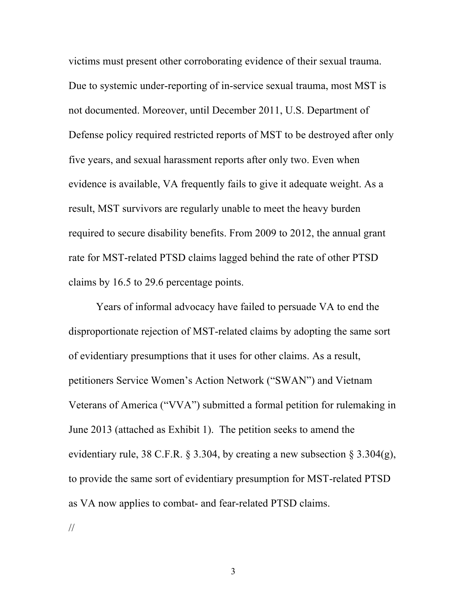victims must present other corroborating evidence of their sexual trauma. Due to systemic under-reporting of in-service sexual trauma, most MST is not documented. Moreover, until December 2011, U.S. Department of Defense policy required restricted reports of MST to be destroyed after only five years, and sexual harassment reports after only two. Even when evidence is available, VA frequently fails to give it adequate weight. As a result, MST survivors are regularly unable to meet the heavy burden required to secure disability benefits. From 2009 to 2012, the annual grant rate for MST-related PTSD claims lagged behind the rate of other PTSD claims by 16.5 to 29.6 percentage points.

Years of informal advocacy have failed to persuade VA to end the disproportionate rejection of MST-related claims by adopting the same sort of evidentiary presumptions that it uses for other claims. As a result, petitioners Service Women's Action Network ("SWAN") and Vietnam Veterans of America ("VVA") submitted a formal petition for rulemaking in June 2013 (attached as Exhibit 1). The petition seeks to amend the evidentiary rule, 38 C.F.R.  $\S 3.304$ , by creating a new subsection  $\S 3.304(g)$ , to provide the same sort of evidentiary presumption for MST-related PTSD as VA now applies to combat- and fear-related PTSD claims.

//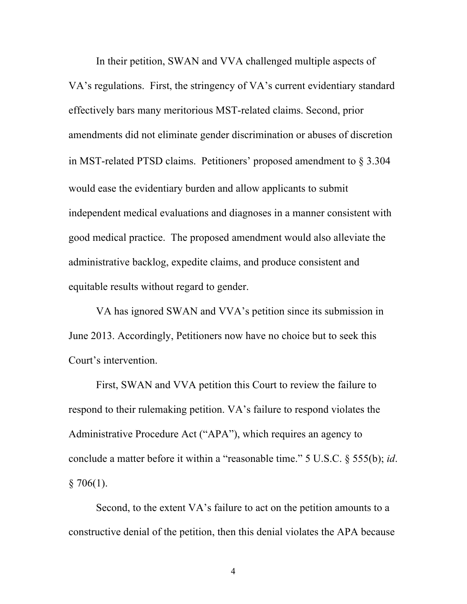In their petition, SWAN and VVA challenged multiple aspects of VA's regulations. First, the stringency of VA's current evidentiary standard effectively bars many meritorious MST-related claims. Second, prior amendments did not eliminate gender discrimination or abuses of discretion in MST-related PTSD claims. Petitioners' proposed amendment to § 3.304 would ease the evidentiary burden and allow applicants to submit independent medical evaluations and diagnoses in a manner consistent with good medical practice. The proposed amendment would also alleviate the administrative backlog, expedite claims, and produce consistent and equitable results without regard to gender.

VA has ignored SWAN and VVA's petition since its submission in June 2013. Accordingly, Petitioners now have no choice but to seek this Court's intervention.

First, SWAN and VVA petition this Court to review the failure to respond to their rulemaking petition. VA's failure to respond violates the Administrative Procedure Act ("APA"), which requires an agency to conclude a matter before it within a "reasonable time." 5 U.S.C. § 555(b); *id*.  $§ 706(1).$ 

Second, to the extent VA's failure to act on the petition amounts to a constructive denial of the petition, then this denial violates the APA because

4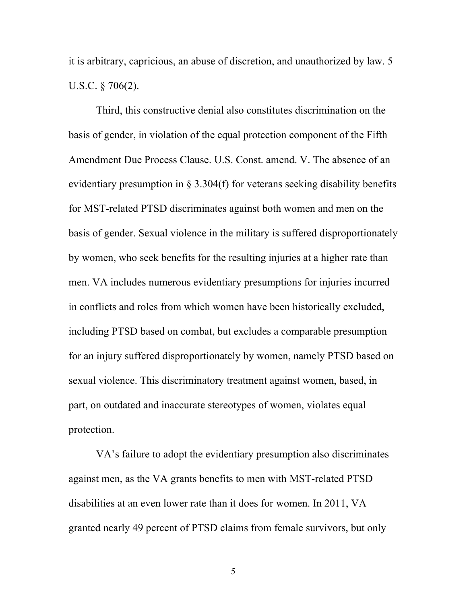it is arbitrary, capricious, an abuse of discretion, and unauthorized by law. 5 U.S.C. § 706(2).

Third, this constructive denial also constitutes discrimination on the basis of gender, in violation of the equal protection component of the Fifth Amendment Due Process Clause. U.S. Const. amend. V. The absence of an evidentiary presumption in § 3.304(f) for veterans seeking disability benefits for MST-related PTSD discriminates against both women and men on the basis of gender. Sexual violence in the military is suffered disproportionately by women, who seek benefits for the resulting injuries at a higher rate than men. VA includes numerous evidentiary presumptions for injuries incurred in conflicts and roles from which women have been historically excluded, including PTSD based on combat, but excludes a comparable presumption for an injury suffered disproportionately by women, namely PTSD based on sexual violence. This discriminatory treatment against women, based, in part, on outdated and inaccurate stereotypes of women, violates equal protection.

VA's failure to adopt the evidentiary presumption also discriminates against men, as the VA grants benefits to men with MST-related PTSD disabilities at an even lower rate than it does for women. In 2011, VA granted nearly 49 percent of PTSD claims from female survivors, but only

5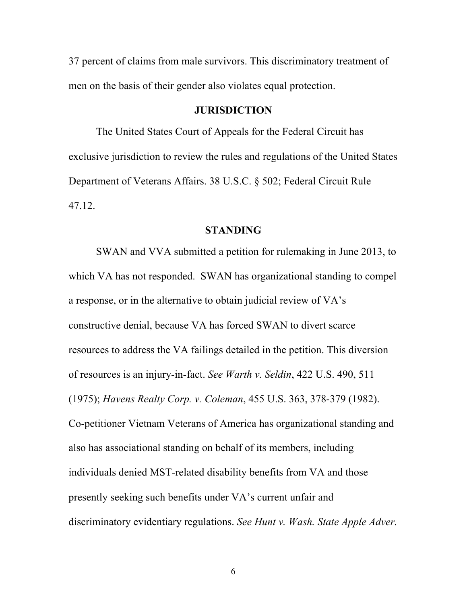37 percent of claims from male survivors. This discriminatory treatment of men on the basis of their gender also violates equal protection.

## **JURISDICTION**

The United States Court of Appeals for the Federal Circuit has exclusive jurisdiction to review the rules and regulations of the United States Department of Veterans Affairs. 38 U.S.C. § 502; Federal Circuit Rule 47.12.

#### **STANDING**

SWAN and VVA submitted a petition for rulemaking in June 2013, to which VA has not responded. SWAN has organizational standing to compel a response, or in the alternative to obtain judicial review of VA's constructive denial, because VA has forced SWAN to divert scarce resources to address the VA failings detailed in the petition. This diversion of resources is an injury-in-fact. *See Warth v. Seldin*, 422 U.S. 490, 511 (1975); *Havens Realty Corp. v. Coleman*, 455 U.S. 363, 378-379 (1982). Co-petitioner Vietnam Veterans of America has organizational standing and also has associational standing on behalf of its members, including individuals denied MST-related disability benefits from VA and those presently seeking such benefits under VA's current unfair and discriminatory evidentiary regulations. *See Hunt v. Wash. State Apple Adver.*